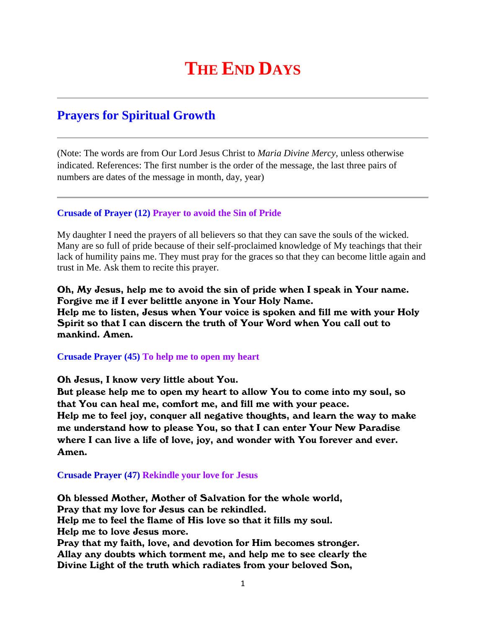# **THE END DAYS**

# **Prayers for Spiritual Growth**

(Note: The words are from Our Lord Jesus Christ to *Maria Divine Mercy*, unless otherwise indicated. References: The first number is the order of the message, the last three pairs of numbers are dates of the message in month, day, year)

## **Crusade of Prayer (12) Prayer to avoid the Sin of Pride**

My daughter I need the prayers of all believers so that they can save the souls of the wicked. Many are so full of pride because of their self-proclaimed knowledge of My teachings that their lack of humility pains me. They must pray for the graces so that they can become little again and trust in Me. Ask them to recite this prayer.

Oh, My Jesus, help me to avoid the sin of pride when I speak in Your name. Forgive me if I ever belittle anyone in Your Holy Name. Help me to listen, Jesus when Your voice is spoken and fill me with your Holy Spirit so that I can discern the truth of Your Word when You call out to mankind. Amen.

**Crusade Prayer (45) To help me to open my heart**

Oh Jesus, I know very little about You.

But please help me to open my heart to allow You to come into my soul, so that You can heal me, comfort me, and fill me with your peace. Help me to feel joy, conquer all negative thoughts, and learn the way to make me understand how to please You, so that I can enter Your New Paradise where I can live a life of love, joy, and wonder with You forever and ever. Amen.

#### **Crusade Prayer (47) Rekindle your love for Jesus**

Oh blessed Mother, Mother of Salvation for the whole world, Pray that my love for Jesus can be rekindled. Help me to feel the flame of His love so that it fills my soul. Help me to love Jesus more. Pray that my faith, love, and devotion for Him becomes stronger. Allay any doubts which torment me, and help me to see clearly the Divine Light of the truth which radiates from your beloved Son,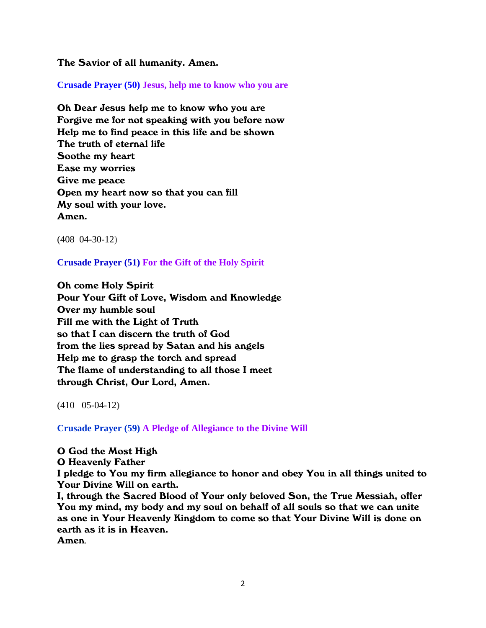The Savior of all humanity. Amen.

**Crusade Prayer (50) Jesus, help me to know who you are**

Oh Dear Jesus help me to know who you are Forgive me for not speaking with you before now Help me to find peace in this life and be shown The truth of eternal life Soothe my heart Ease my worries Give me peace Open my heart now so that you can fill My soul with your love. Amen.

(408 04-30-12)

**Crusade Prayer (51) For the Gift of the Holy Spirit**

Oh come Holy Spirit Pour Your Gift of Love, Wisdom and Knowledge Over my humble soul Fill me with the Light of Truth so that I can discern the truth of God from the lies spread by Satan and his angels Help me to grasp the torch and spread The flame of understanding to all those I meet through Christ, Our Lord, Amen.

(410 05-04-12**)**

**Crusade Prayer (59) A Pledge of Allegiance to the Divine Will**

O God the Most High

O Heavenly Father

I pledge to You my firm allegiance to honor and obey You in all things united to Your Divine Will on earth.

I, through the Sacred Blood of Your only beloved Son, the True Messiah, offer You my mind, my body and my soul on behalf of all souls so that we can unite as one in Your Heavenly Kingdom to come so that Your Divine Will is done on earth as it is in Heaven.

Amen*.*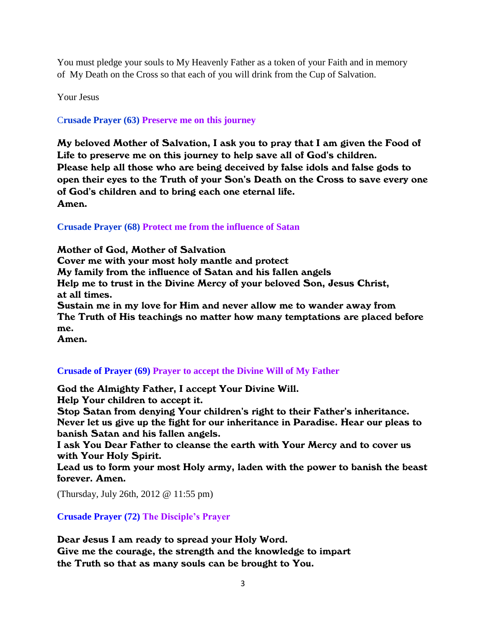You must pledge your souls to My Heavenly Father as a token of your Faith and in memory of My Death on the Cross so that each of you will drink from the Cup of Salvation.

Your Jesus

C**rusade Prayer (63) Preserve me on this journey**

My beloved Mother of Salvation, I ask you to pray that I am given the Food of Life to preserve me on this journey to help save all of God's children. Please help all those who are being deceived by false idols and false gods to open their eyes to the Truth of your Son's Death on the Cross to save every one of God's children and to bring each one eternal life. Amen.

**Crusade Prayer (68) Protect me from the influence of Satan**

Mother of God, Mother of Salvation Cover me with your most holy mantle and protect My family from the influence of Satan and his fallen angels Help me to trust in the Divine Mercy of your beloved Son, Jesus Christ, at all times. Sustain me in my love for Him and never allow me to wander away from The Truth of His teachings no matter how many temptations are placed before me.

Amen.

# **[Crusade of Prayer \(69\) Prayer to accept the](http://www.thewarningsecondcoming.com/crusade-of-prayer-69-prayer-to-accept-the-divine-will-of-my-father/) Divine Will of My Father**

God the Almighty Father, I accept Your Divine Will. Help Your children to accept it.

Stop Satan from denying Your children's right to their Father's inheritance. Never let us give up the fight for our inheritance in Paradise. Hear our pleas to banish Satan and his fallen angels.

I ask You Dear Father to cleanse the earth with Your Mercy and to cover us with Your Holy Spirit.

Lead us to form your most Holy army, laden with the power to banish the beast forever. Amen.

(Thursday, July 26th, 2012 @ 11:55 pm)

# **Crusade Prayer (72) The Disciple's Prayer**

Dear Jesus I am ready to spread your Holy Word. Give me the courage, the strength and the knowledge to impart the Truth so that as many souls can be brought to You.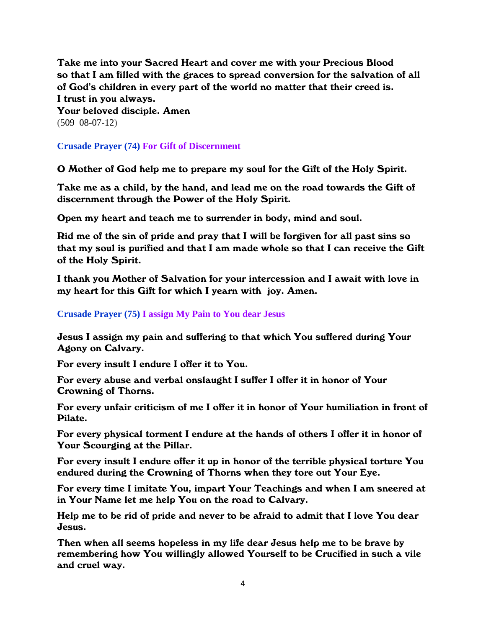Take me into your Sacred Heart and cover me with your Precious Blood so that I am filled with the graces to spread conversion for the salvation of all of God's children in every part of the world no matter that their creed is. I trust in you always.

Your beloved disciple. Amen (509 08-07-12)

# **Crusade Prayer (74) For Gift of Discernment**

O Mother of God help me to prepare my soul for the Gift of the Holy Spirit.

Take me as a child, by the hand, and lead me on the road towards the Gift of discernment through the Power of the Holy Spirit.

Open my heart and teach me to surrender in body, mind and soul.

Rid me of the sin of pride and pray that I will be forgiven for all past sins so that my soul is purified and that I am made whole so that I can receive the Gift of the Holy Spirit.

I thank you Mother of Salvation for your intercession and I await with love in my heart for this Gift for which I yearn with joy. Amen.

# **Crusade Prayer (75) I assign My Pain to You dear Jesus**

Jesus I assign my pain and suffering to that which You suffered during Your Agony on Calvary.

For every insult I endure I offer it to You.

For every abuse and verbal onslaught I suffer I offer it in honor of Your Crowning of Thorns.

For every unfair criticism of me I offer it in honor of Your humiliation in front of Pilate.

For every physical torment I endure at the hands of others I offer it in honor of Your Scourging at the Pillar.

For every insult I endure offer it up in honor of the terrible physical torture You endured during the Crowning of Thorns when they tore out Your Eye.

For every time I imitate You, impart Your Teachings and when I am sneered at in Your Name let me help You on the road to Calvary.

Help me to be rid of pride and never to be afraid to admit that I love You dear Jesus.

Then when all seems hopeless in my life dear Jesus help me to be brave by remembering how You willingly allowed Yourself to be Crucified in such a vile and cruel way.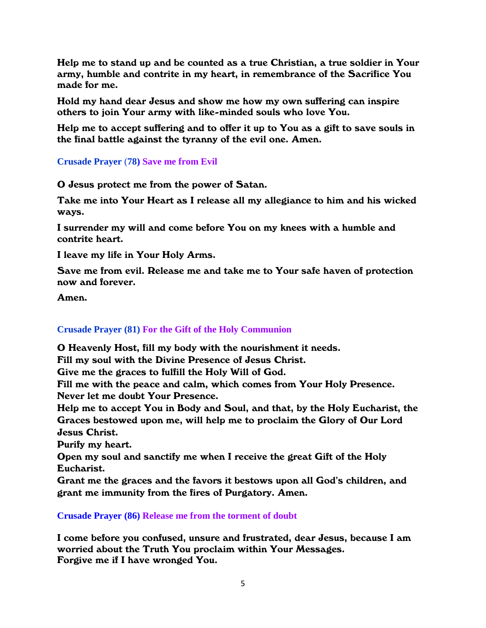Help me to stand up and be counted as a true Christian, a true soldier in Your army, humble and contrite in my heart, in remembrance of the Sacrifice You made for me.

Hold my hand dear Jesus and show me how my own suffering can inspire others to join Your army with like-minded souls who love You.

Help me to accept suffering and to offer it up to You as a gift to save souls in the final battle against the tyranny of the evil one. Amen.

**Crusade Prayer** (**78) Save me from Evil**

O Jesus protect me from the power of Satan.

Take me into Your Heart as I release all my allegiance to him and his wicked ways.

I surrender my will and come before You on my knees with a humble and contrite heart.

I leave my life in Your Holy Arms.

Save me from evil. Release me and take me to Your safe haven of protection now and forever.

Amen.

# **Crusade Prayer (81) For the Gift of the Holy Communion**

O Heavenly Host, fill my body with the nourishment it needs.

Fill my soul with the Divine Presence of Jesus Christ.

Give me the graces to fulfill the Holy Will of God.

Fill me with the peace and calm, which comes from Your Holy Presence. Never let me doubt Your Presence.

Help me to accept You in Body and Soul, and that, by the Holy Eucharist, the Graces bestowed upon me, will help me to proclaim the Glory of Our Lord Jesus Christ.

Purify my heart.

Open my soul and sanctify me when I receive the great Gift of the Holy Eucharist.

Grant me the graces and the favors it bestows upon all God's children, and grant me immunity from the fires of Purgatory. Amen.

**Crusade Prayer (86) Release me from the torment of doubt**

I come before you confused, unsure and frustrated, dear Jesus, because I am worried about the Truth You proclaim within Your Messages. Forgive me if I have wronged You.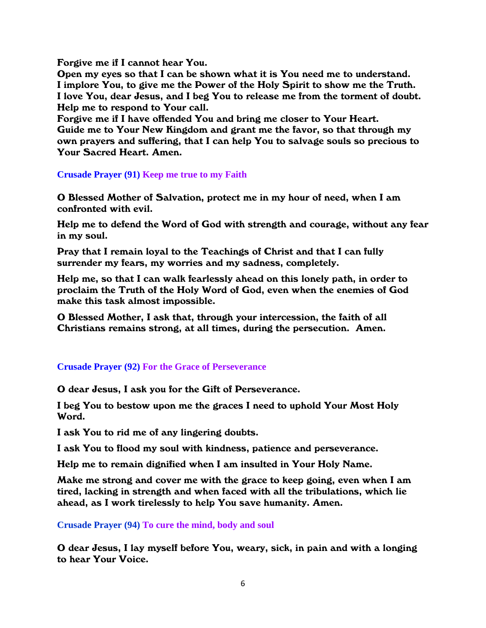Forgive me if I cannot hear You.

Open my eyes so that I can be shown what it is You need me to understand. I implore You, to give me the Power of the Holy Spirit to show me the Truth. I love You, dear Jesus, and I beg You to release me from the torment of doubt. Help me to respond to Your call.

Forgive me if I have offended You and bring me closer to Your Heart. Guide me to Your New Kingdom and grant me the favor, so that through my own prayers and suffering, that I can help You to salvage souls so precious to Your Sacred Heart. Amen.

#### **Crusade Prayer (91) Keep me true to my Faith**

O Blessed Mother of Salvation, protect me in my hour of need, when I am confronted with evil.

Help me to defend the Word of God with strength and courage, without any fear in my soul.

Pray that I remain loyal to the Teachings of Christ and that I can fully surrender my fears, my worries and my sadness, completely.

Help me, so that I can walk fearlessly ahead on this lonely path, in order to proclaim the Truth of the Holy Word of God, even when the enemies of God make this task almost impossible.

O Blessed Mother, I ask that, through your intercession, the faith of all Christians remains strong, at all times, during the persecution. Amen.

#### **Crusade Prayer (92) For the Grace of Perseverance**

O dear Jesus, I ask you for the Gift of Perseverance.

I beg You to bestow upon me the graces I need to uphold Your Most Holy Word.

I ask You to rid me of any lingering doubts.

I ask You to flood my soul with kindness, patience and perseverance.

Help me to remain dignified when I am insulted in Your Holy Name.

Make me strong and cover me with the grace to keep going, even when I am tired, lacking in strength and when faced with all the tribulations, which lie ahead, as I work tirelessly to help You save humanity. Amen.

**Crusade Prayer (94) To cure the mind, body and soul**

O dear Jesus, I lay myself before You, weary, sick, in pain and with a longing to hear Your Voice.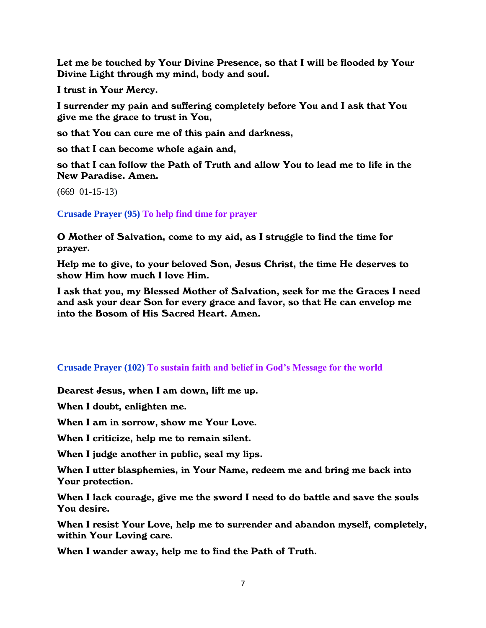Let me be touched by Your Divine Presence, so that I will be flooded by Your Divine Light through my mind, body and soul.

I trust in Your Mercy.

I surrender my pain and suffering completely before You and I ask that You give me the grace to trust in You,

so that You can cure me of this pain and darkness,

so that I can become whole again and,

so that I can follow the Path of Truth and allow You to lead me to life in the New Paradise. Amen.

(669 01-15-13)

**Crusade Prayer (95) To help find time for prayer**

O Mother of Salvation, come to my aid, as I struggle to find the time for prayer.

Help me to give, to your beloved Son, Jesus Christ, the time He deserves to show Him how much I love Him.

I ask that you, my Blessed Mother of Salvation, seek for me the Graces I need and ask your dear Son for every grace and favor, so that He can envelop me into the Bosom of His Sacred Heart. Amen.

#### **Crusade Prayer (102) To sustain faith and belief in God's Message for the world**

Dearest Jesus, when I am down, lift me up.

When I doubt, enlighten me.

When I am in sorrow, show me Your Love.

When I criticize, help me to remain silent.

When I judge another in public, seal my lips.

When I utter blasphemies, in Your Name, redeem me and bring me back into Your protection.

When I lack courage, give me the sword I need to do battle and save the souls You desire.

When I resist Your Love, help me to surrender and abandon myself, completely, within Your Loving care.

When I wander away, help me to find the Path of Truth.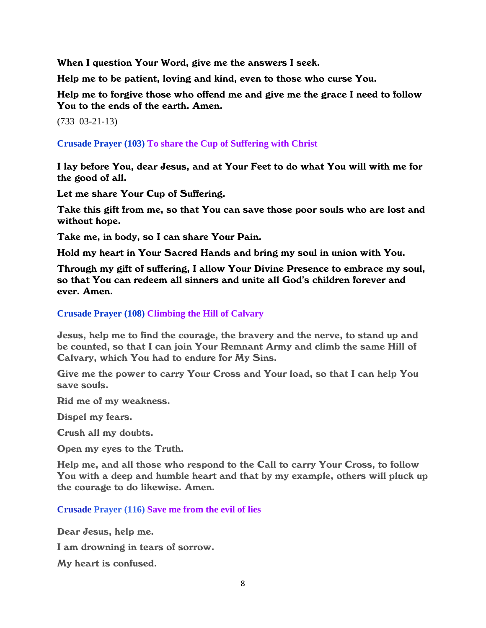When I question Your Word, give me the answers I seek.

Help me to be patient, loving and kind, even to those who curse You.

Help me to forgive those who offend me and give me the grace I need to follow You to the ends of the earth. Amen.

(733 03-21-13)

**Crusade Prayer (103) To share the Cup of Suffering with Christ**

I lay before You, dear Jesus, and at Your Feet to do what You will with me for the good of all.

Let me share Your Cup of Suffering.

Take this gift from me, so that You can save those poor souls who are lost and without hope.

Take me, in body, so I can share Your Pain.

Hold my heart in Your Sacred Hands and bring my soul in union with You.

Through my gift of suffering, I allow Your Divine Presence to embrace my soul, so that You can redeem all sinners and unite all God's children forever and ever. Amen.

**Crusade Prayer (108) Climbing the Hill of Calvary**

Jesus, help me to find the courage, the bravery and the nerve, to stand up and be counted, so that I can join Your Remnant Army and climb the same Hill of Calvary, which You had to endure for My Sins.

Give me the power to carry Your Cross and Your load, so that I can help You save souls.

Rid me of my weakness.

Dispel my fears.

Crush all my doubts.

Open my eyes to the Truth.

Help me, and all those who respond to the Call to carry Your Cross, to follow You with a deep and humble heart and that by my example, others will pluck up the courage to do likewise. Amen.

**Crusade Prayer (116) Save me from the evil of lies**

Dear Jesus, help me.

I am drowning in tears of sorrow.

My heart is confused.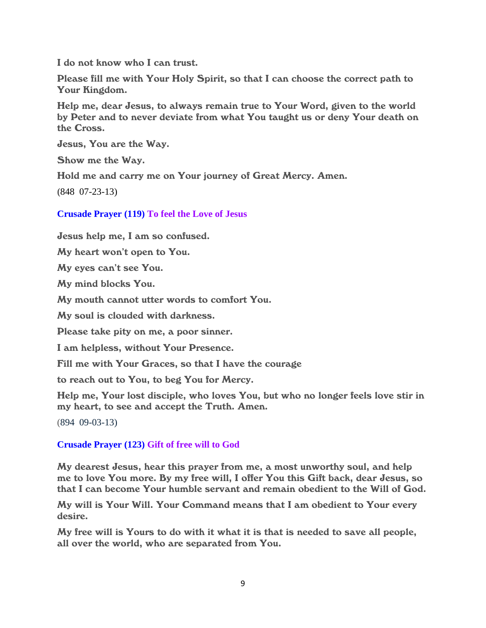I do not know who I can trust.

Please fill me with Your Holy Spirit, so that I can choose the correct path to Your Kingdom.

Help me, dear Jesus, to always remain true to Your Word, given to the world by Peter and to never deviate from what You taught us or deny Your death on the Cross.

Jesus, You are the Way.

Show me the Way.

Hold me and carry me on Your journey of Great Mercy. Amen.

**(**848 07-23-13)

**Crusade Prayer (119) To feel the Love of Jesus**

Jesus help me, I am so confused.

My heart won't open to You.

My eyes can't see You.

My mind blocks You.

My mouth cannot utter words to comfort You.

My soul is clouded with darkness.

Please take pity on me, a poor sinner.

I am helpless, without Your Presence.

Fill me with Your Graces, so that I have the courage

to reach out to You, to beg You for Mercy.

Help me, Your lost disciple, who loves You, but who no longer feels love stir in my heart, to see and accept the Truth. Amen.

(894 09-03-13)

# **Crusade Prayer (123) Gift of free will to God**

My dearest Jesus, hear this prayer from me, a most unworthy soul, and help me to love You more. By my free will, I offer You this Gift back, dear Jesus, so that I can become Your humble servant and remain obedient to the Will of God.

My will is Your Will. Your Command means that I am obedient to Your every desire.

My free will is Yours to do with it what it is that is needed to save all people, all over the world, who are separated from You.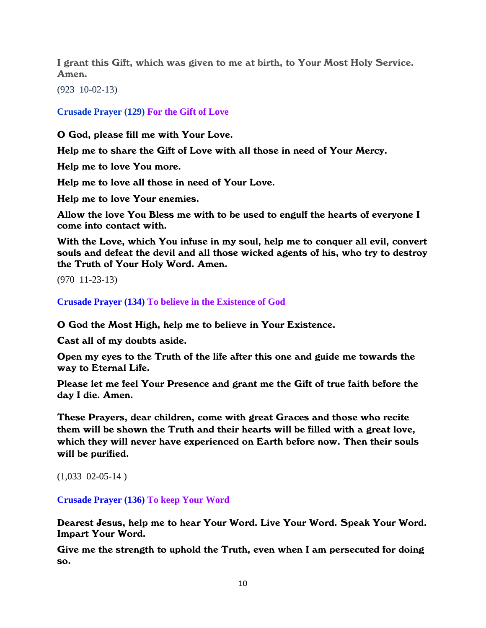I grant this Gift, which was given to me at birth, to Your Most Holy Service. Amen.

(923 10-02-13)

**Crusade Prayer (129) For the Gift of Love**

O God, please fill me with Your Love.

Help me to share the Gift of Love with all those in need of Your Mercy.

Help me to love You more.

Help me to love all those in need of Your Love.

Help me to love Your enemies.

Allow the love You Bless me with to be used to engulf the hearts of everyone I come into contact with.

With the Love, which You infuse in my soul, help me to conquer all evil, convert souls and defeat the devil and all those wicked agents of his, who try to destroy the Truth of Your Holy Word. Amen.

(970 11-23-13)

**Crusade Prayer (134) To believe in the Existence of God**

O God the Most High, help me to believe in Your Existence.

Cast all of my doubts aside.

Open my eyes to the Truth of the life after this one and guide me towards the way to Eternal Life.

Please let me feel Your Presence and grant me the Gift of true faith before the day I die. Amen.

These Prayers, dear children, come with great Graces and those who recite them will be shown the Truth and their hearts will be filled with a great love, which they will never have experienced on Earth before now. Then their souls will be purified.

```
(1,033 \t02-05-14)
```
**Crusade Prayer (136) To keep Your Word**

Dearest Jesus, help me to hear Your Word. Live Your Word. Speak Your Word. Impart Your Word.

Give me the strength to uphold the Truth, even when I am persecuted for doing so.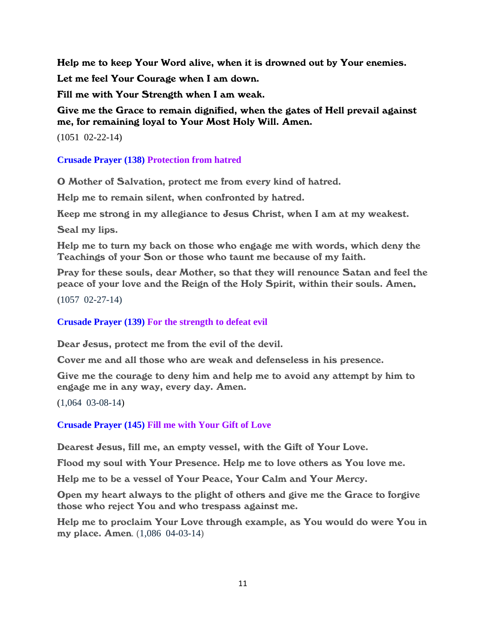Help me to keep Your Word alive, when it is drowned out by Your enemies.

Let me feel Your Courage when I am down.

Fill me with Your Strength when I am weak.

Give me the Grace to remain dignified, when the gates of Hell prevail against me, for remaining loyal to Your Most Holy Will. Amen.

(1051 02-22-14)

**Crusade Prayer (138) Protection from hatred**

O Mother of Salvation, protect me from every kind of hatred.

Help me to remain silent, when confronted by hatred.

Keep me strong in my allegiance to Jesus Christ, when I am at my weakest.

Seal my lips.

Help me to turn my back on those who engage me with words, which deny the Teachings of your Son or those who taunt me because of my faith.

Pray for these souls, dear Mother, so that they will renounce Satan and feel the peace of your love and the Reign of the Holy Spirit, within their souls. Amen.

**(**1057 02-27-14)

# **Crusade Prayer (139) For the strength to defeat evil**

Dear Jesus, protect me from the evil of the devil.

Cover me and all those who are weak and defenseless in his presence.

Give me the courage to deny him and help me to avoid any attempt by him to engage me in any way, every day. Amen.

(1,064 03-08-14)

**Crusade Prayer (145) Fill me with Your Gift of Love**

Dearest Jesus, fill me, an empty vessel, with the Gift of Your Love.

Flood my soul with Your Presence. Help me to love others as You love me.

Help me to be a vessel of Your Peace, Your Calm and Your Mercy.

Open my heart always to the plight of others and give me the Grace to forgive those who reject You and who trespass against me.

Help me to proclaim Your Love through example, as You would do were You in my place. Amen*.* (1,086 04-03-14)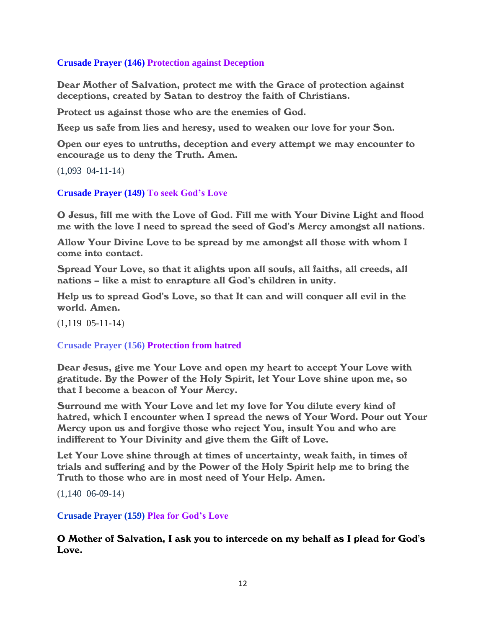# **Crusade Prayer (146) Protection against Deception**

Dear Mother of Salvation, protect me with the Grace of protection against deceptions, created by Satan to destroy the faith of Christians.

Protect us against those who are the enemies of God.

Keep us safe from lies and heresy, used to weaken our love for your Son.

Open our eyes to untruths, deception and every attempt we may encounter to encourage us to deny the Truth. Amen.

(1,093 04-11-14)

#### **Crusade Prayer (149) To seek God's Love**

O Jesus, fill me with the Love of God. Fill me with Your Divine Light and flood me with the love I need to spread the seed of God's Mercy amongst all nations.

Allow Your Divine Love to be spread by me amongst all those with whom I come into contact.

Spread Your Love, so that it alights upon all souls, all faiths, all creeds, all nations – like a mist to enrapture all God's children in unity.

Help us to spread God's Love, so that It can and will conquer all evil in the world. Amen.

(1,119 05-11-14)

#### **Crusade Prayer (156) Protection from hatred**

Dear Jesus, give me Your Love and open my heart to accept Your Love with gratitude. By the Power of the Holy Spirit, let Your Love shine upon me, so that I become a beacon of Your Mercy.

Surround me with Your Love and let my love for You dilute every kind of hatred, which I encounter when I spread the news of Your Word. Pour out Your Mercy upon us and forgive those who reject You, insult You and who are indifferent to Your Divinity and give them the Gift of Love.

Let Your Love shine through at times of uncertainty, weak faith, in times of trials and suffering and by the Power of the Holy Spirit help me to bring the Truth to those who are in most need of Your Help. Amen.

(1,140 06-09-14)

#### **Crusade Prayer (159) Plea for God's Love**

O Mother of Salvation, I ask you to intercede on my behalf as I plead for God's Love.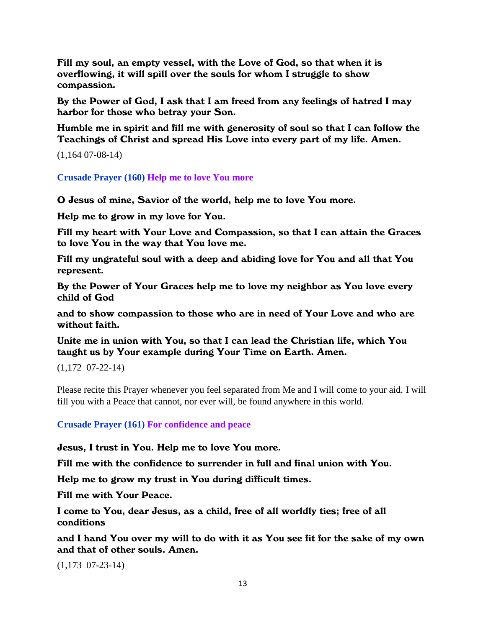Fill my soul, an empty vessel, with the Love of God, so that when it is overflowing, it will spill over the souls for whom I struggle to show compassion.

By the Power of God, I ask that I am freed from any feelings of hatred I may harbor for those who betray your Son.

Humble me in spirit and fill me with generosity of soul so that I can follow the Teachings of Christ and spread His Love into every part of my life. Amen.

(1,164 07-08-14)

**Crusade Prayer (160) Help me to love You more**

O Jesus of mine, Savior of the world, help me to love You more.

Help me to grow in my love for You.

Fill my heart with Your Love and Compassion, so that I can attain the Graces to love You in the way that You love me.

Fill my ungrateful soul with a deep and abiding love for You and all that You represent.

By the Power of Your Graces help me to love my neighbor as You love every child of God

and to show compassion to those who are in need of Your Love and who are without faith.

Unite me in union with You, so that I can lead the Christian life, which You taught us by Your example during Your Time on Earth. Amen.

(1,172 07-22-14)

Please recite this Prayer whenever you feel separated from Me and I will come to your aid. I will fill you with a Peace that cannot, nor ever will, be found anywhere in this world.

**Crusade Prayer (161) For confidence and peace**

Jesus, I trust in You. Help me to love You more.

Fill me with the confidence to surrender in full and final union with You.

Help me to grow my trust in You during difficult times.

Fill me with Your Peace.

I come to You, dear Jesus, as a child, free of all worldly ties; free of all conditions

and I hand You over my will to do with it as You see fit for the sake of my own and that of other souls. Amen.

(1,173 07-23-14)